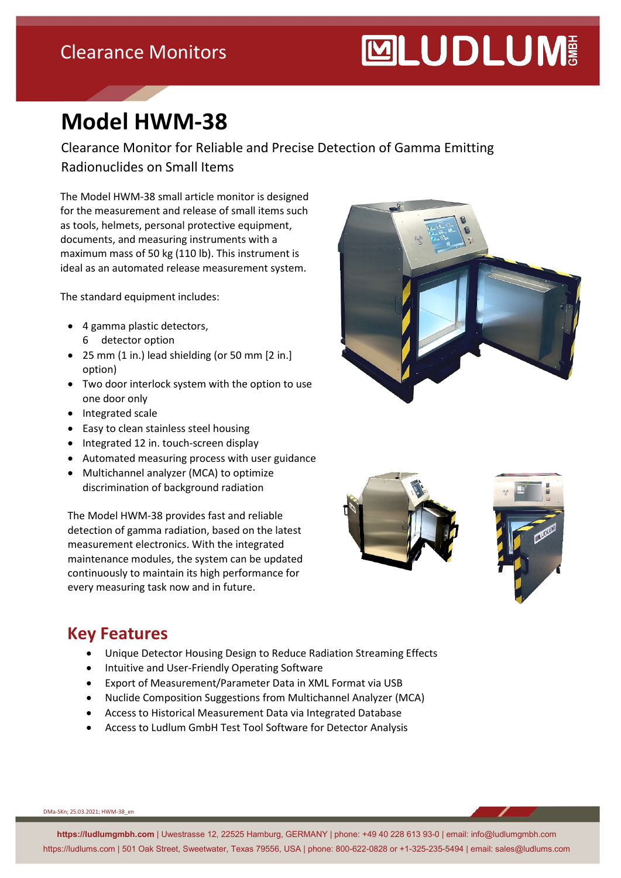### Clearance Monitors

# **MUDLUM**

## **Model HWM-38**

Clearance Monitor for Reliable and Precise Detection of Gamma Emitting Radionuclides on Small Items

The Model HWM-38 small article monitor is designed for the measurement and release of small items such as tools, helmets, personal protective equipment, documents, and measuring instruments with a maximum mass of 50 kg (110 lb). This instrument is ideal as an automated release measurement system.

The standard equipment includes:

- 4 gamma plastic detectors, 6 detector option
- 25 mm (1 in.) lead shielding (or 50 mm [2 in.] option)
- Two door interlock system with the option to use one door only
- Integrated scale
- Easy to clean stainless steel housing
- Integrated 12 in. touch-screen display
- Automated measuring process with user guidance
- Multichannel analyzer (MCA) to optimize discrimination of background radiation

The Model HWM-38 provides fast and reliable detection of gamma radiation, based on the latest measurement electronics. With the integrated maintenance modules, the system can be updated continuously to maintain its high performance for every measuring task now and in future.







#### **Key Features**

- Unique Detector Housing Design to Reduce Radiation Streaming Effects
- Intuitive and User-Friendly Operating Software
- Export of Measurement/Parameter Data in XML Format via USB
- Nuclide Composition Suggestions from Multichannel Analyzer (MCA)
- Access to Historical Measurement Data via Integrated Database
- Access to Ludlum GmbH Test Tool Software for Detector Analysis

DMa-SKn; 25.03.2021; HWM-38\_en

**https://ludlumgmbh.com** | Uwestrasse 12, 22525 Hamburg, GERMANY | phone: +49 40 228 613 93-0 | email: info@ludlumgmbh.com https://ludlums.com | 501 Oak Street, Sweetwater, Texas 79556, USA | phone: 800-622-0828 or +1-325-235-5494 | email: sales@ludlums.com